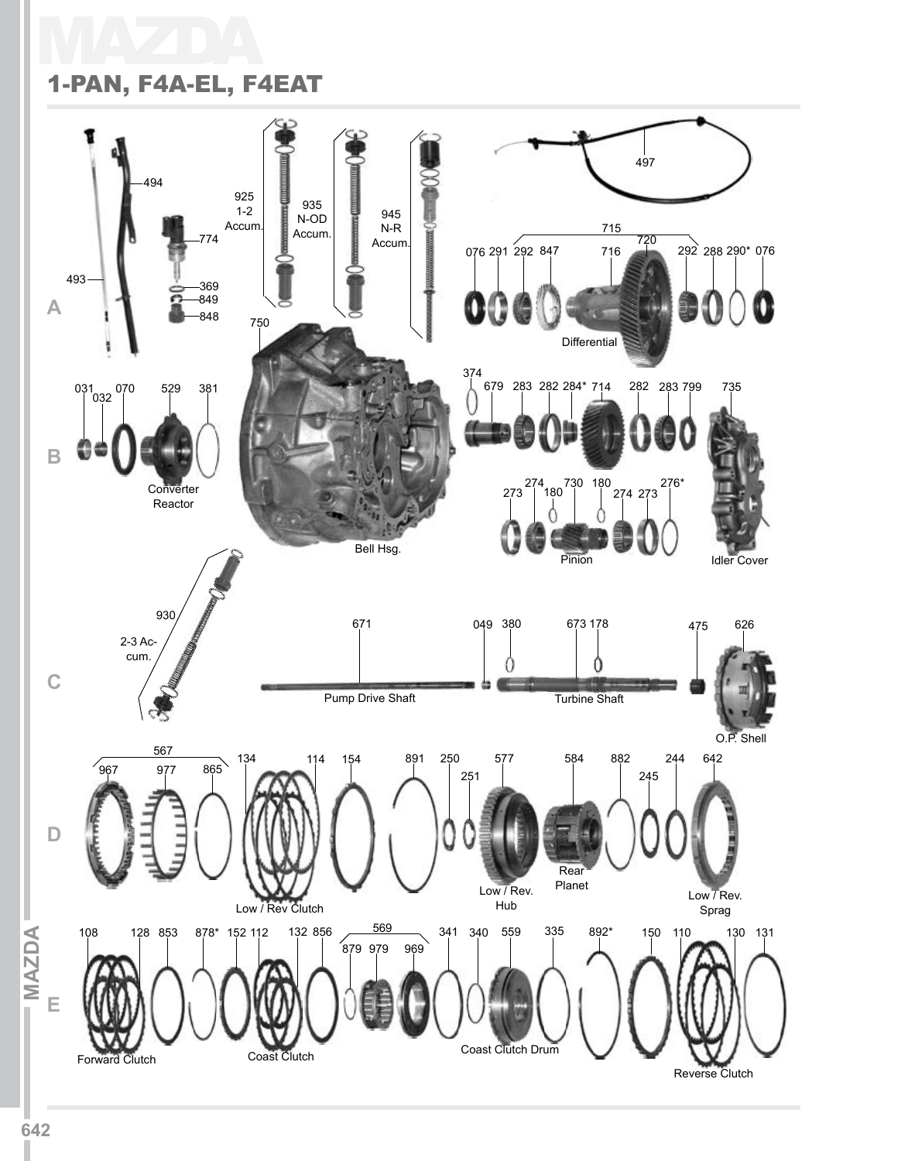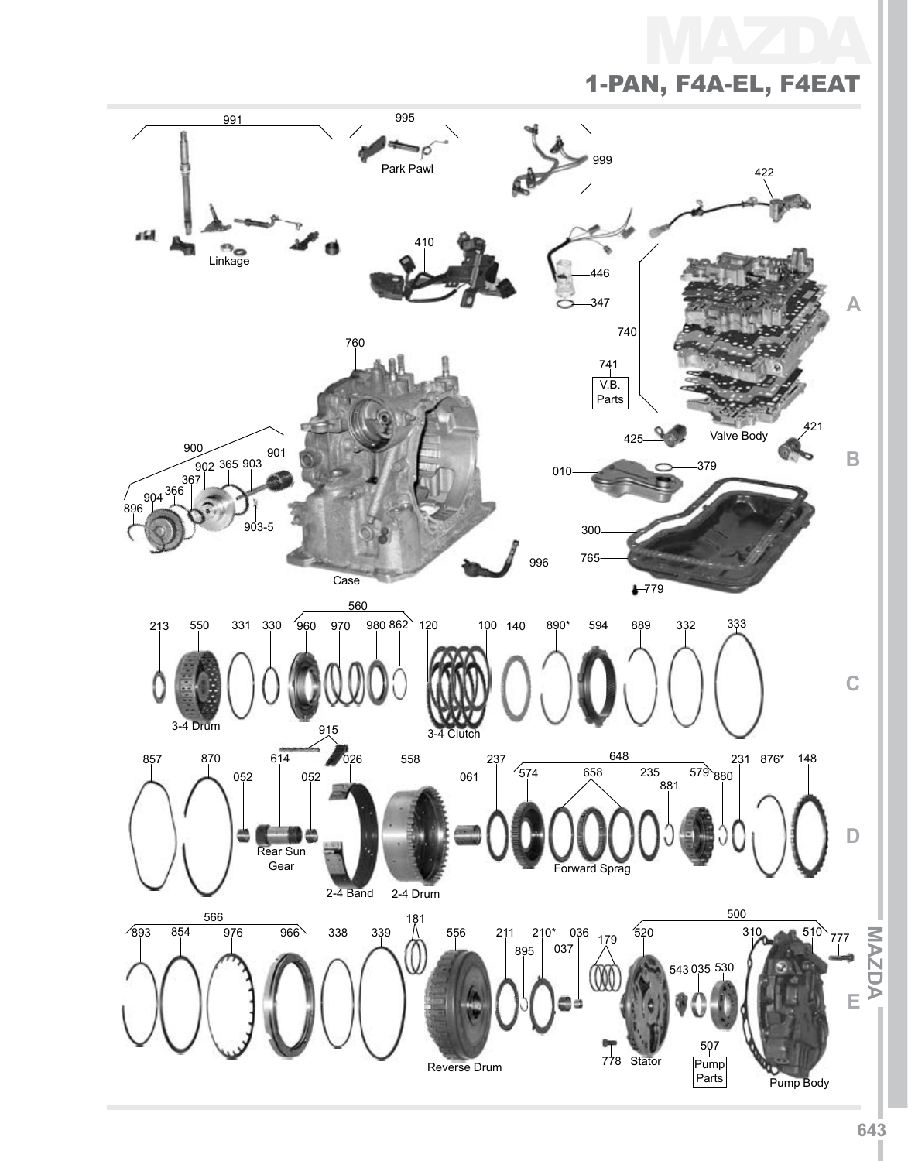MA 1-Pan, F4A-EL, F4EAT

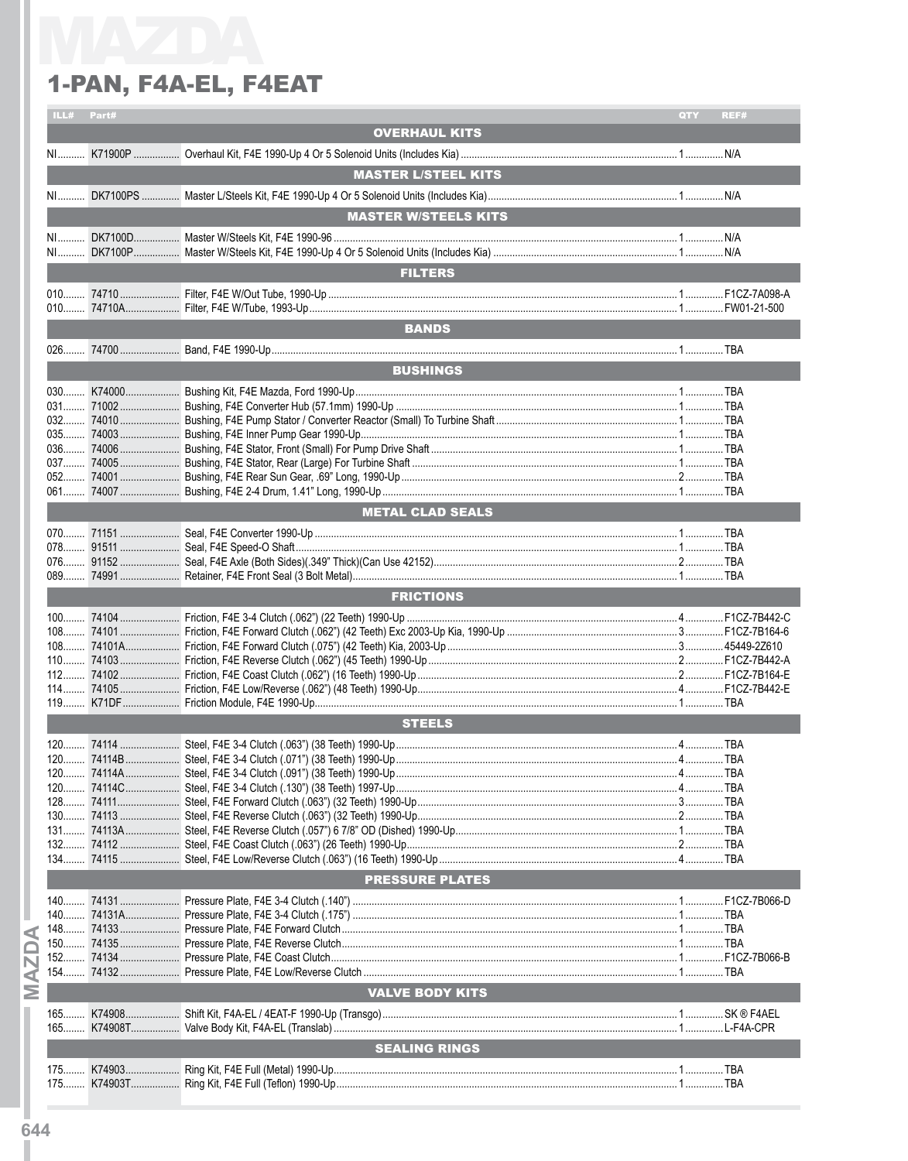| ILL# Part# |                        | QTY                                                                                                                                       | REF# |
|------------|------------------------|-------------------------------------------------------------------------------------------------------------------------------------------|------|
|            | <b>OVERHAUL KITS</b>   |                                                                                                                                           |      |
|            |                        |                                                                                                                                           |      |
|            |                        |                                                                                                                                           |      |
|            |                        |                                                                                                                                           |      |
|            |                        |                                                                                                                                           |      |
|            |                        |                                                                                                                                           |      |
|            |                        |                                                                                                                                           |      |
|            |                        |                                                                                                                                           |      |
|            |                        |                                                                                                                                           |      |
|            |                        |                                                                                                                                           |      |
|            |                        |                                                                                                                                           |      |
|            |                        |                                                                                                                                           |      |
|            |                        |                                                                                                                                           |      |
|            |                        |                                                                                                                                           |      |
|            |                        |                                                                                                                                           |      |
|            |                        |                                                                                                                                           |      |
|            |                        |                                                                                                                                           |      |
|            |                        |                                                                                                                                           |      |
|            |                        |                                                                                                                                           |      |
|            |                        |                                                                                                                                           |      |
|            |                        |                                                                                                                                           |      |
|            |                        |                                                                                                                                           |      |
|            |                        |                                                                                                                                           |      |
|            |                        |                                                                                                                                           |      |
|            |                        |                                                                                                                                           |      |
|            |                        |                                                                                                                                           |      |
|            |                        |                                                                                                                                           |      |
|            |                        |                                                                                                                                           |      |
|            |                        |                                                                                                                                           |      |
|            |                        |                                                                                                                                           |      |
|            |                        |                                                                                                                                           |      |
|            |                        |                                                                                                                                           |      |
|            | <b>FRICTIONS</b>       |                                                                                                                                           |      |
|            |                        |                                                                                                                                           |      |
|            |                        |                                                                                                                                           |      |
|            |                        |                                                                                                                                           |      |
|            |                        |                                                                                                                                           |      |
|            |                        |                                                                                                                                           |      |
|            |                        |                                                                                                                                           |      |
|            |                        |                                                                                                                                           |      |
|            |                        |                                                                                                                                           |      |
|            | <b>STEELS</b>          |                                                                                                                                           |      |
|            |                        |                                                                                                                                           |      |
|            |                        |                                                                                                                                           |      |
|            |                        |                                                                                                                                           |      |
|            |                        |                                                                                                                                           |      |
|            |                        |                                                                                                                                           |      |
|            |                        |                                                                                                                                           |      |
|            |                        |                                                                                                                                           |      |
|            |                        |                                                                                                                                           |      |
|            |                        |                                                                                                                                           |      |
|            |                        |                                                                                                                                           |      |
|            |                        |                                                                                                                                           |      |
|            | <b>PRESSURE PLATES</b> |                                                                                                                                           |      |
|            |                        |                                                                                                                                           |      |
|            |                        |                                                                                                                                           |      |
|            |                        |                                                                                                                                           |      |
|            |                        |                                                                                                                                           |      |
|            |                        |                                                                                                                                           |      |
|            |                        |                                                                                                                                           |      |
|            |                        |                                                                                                                                           |      |
|            | <b>VALVE BODY KITS</b> |                                                                                                                                           |      |
|            |                        |                                                                                                                                           |      |
|            |                        |                                                                                                                                           |      |
|            |                        |                                                                                                                                           |      |
|            | <b>SEALING RINGS</b>   |                                                                                                                                           |      |
|            |                        |                                                                                                                                           |      |
|            |                        | <b>MASTER L/STEEL KITS</b><br><b>MASTER W/STEELS KITS</b><br><b>FILTERS</b><br><b>BANDS</b><br><b>BUSHINGS</b><br><b>METAL CLAD SEALS</b> |      |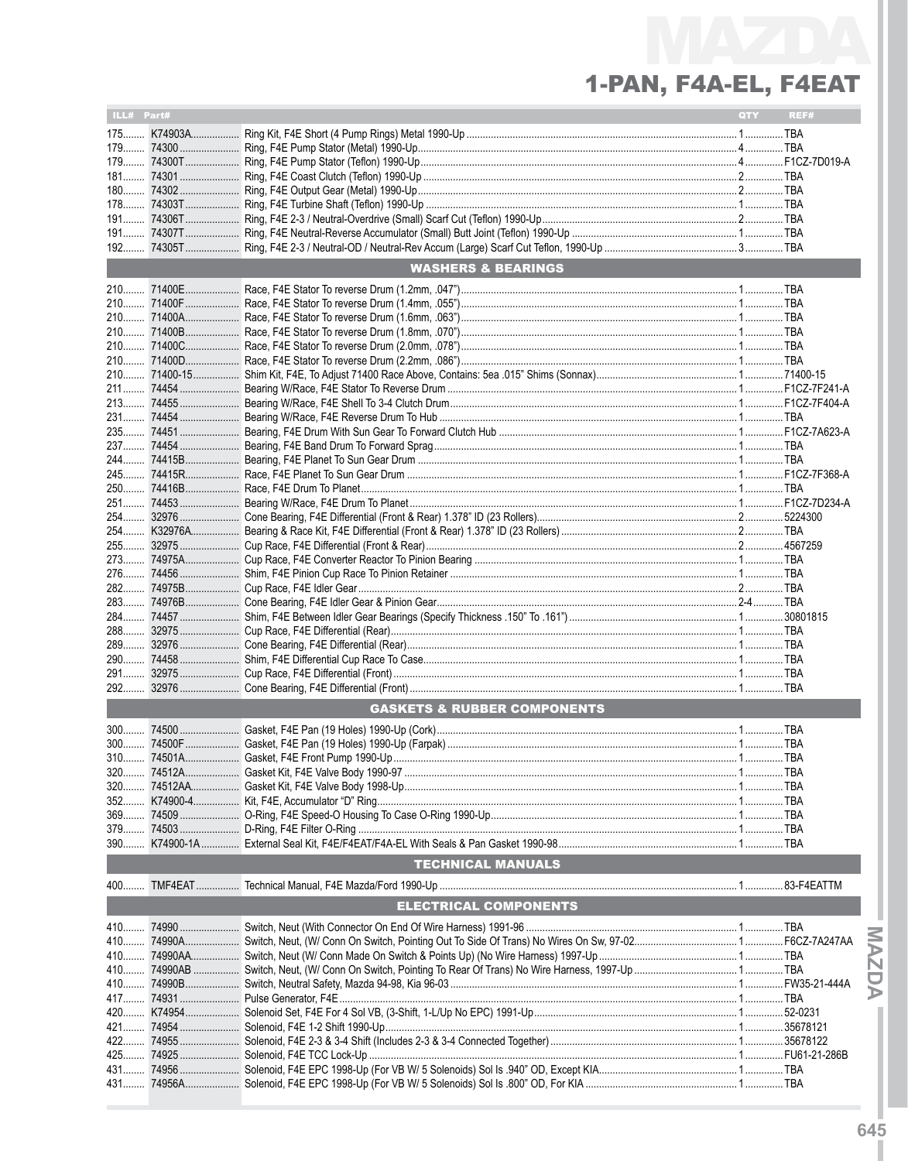| ILL# Part# |            |                                        | QTY | REF# |
|------------|------------|----------------------------------------|-----|------|
|            |            |                                        |     |      |
|            |            |                                        |     |      |
|            |            |                                        |     |      |
| $181$      |            |                                        |     |      |
|            |            |                                        |     |      |
|            |            |                                        |     |      |
|            |            |                                        |     |      |
|            |            |                                        |     |      |
| $192$      |            |                                        |     |      |
|            |            | <b>WASHERS &amp; BEARINGS</b>          |     |      |
|            |            |                                        |     |      |
|            |            |                                        |     |      |
|            |            |                                        |     |      |
|            |            |                                        |     |      |
|            |            |                                        |     |      |
|            |            |                                        |     |      |
|            |            |                                        |     |      |
|            |            |                                        |     |      |
|            |            |                                        |     |      |
|            |            |                                        |     |      |
|            |            |                                        |     |      |
|            |            |                                        |     |      |
| 244        |            |                                        |     |      |
|            |            |                                        |     |      |
|            |            |                                        |     |      |
|            |            |                                        |     |      |
|            |            |                                        |     |      |
|            |            |                                        |     |      |
|            |            |                                        |     |      |
|            |            |                                        |     |      |
|            |            |                                        |     |      |
| 283        |            |                                        |     |      |
|            |            |                                        |     |      |
|            |            |                                        |     |      |
|            |            |                                        |     |      |
|            |            |                                        |     |      |
| 291        |            |                                        |     |      |
| 292        |            |                                        |     |      |
|            |            | <b>GASKETS &amp; RUBBER COMPONENTS</b> |     |      |
|            |            |                                        |     |      |
|            |            |                                        |     |      |
|            |            |                                        |     |      |
|            |            |                                        |     |      |
|            |            |                                        |     |      |
|            |            |                                        |     |      |
|            |            |                                        |     |      |
| 379        |            |                                        |     |      |
| $390$      |            |                                        |     |      |
|            |            | <b>TECHNICAL MANUALS</b>               |     |      |
|            |            |                                        |     |      |
|            |            | <b>ELECTRICAL COMPONENTS</b>           |     |      |
|            |            |                                        |     |      |
| 410        | 74990A     |                                        |     |      |
|            |            |                                        |     |      |
|            |            |                                        |     |      |
|            |            |                                        |     |      |
|            |            |                                        |     |      |
|            | 420 K74954 |                                        |     |      |
|            |            |                                        |     |      |
|            |            |                                        |     |      |
|            |            |                                        |     |      |
| 431        |            |                                        |     |      |
| 431        |            |                                        |     |      |

**MAZDAT**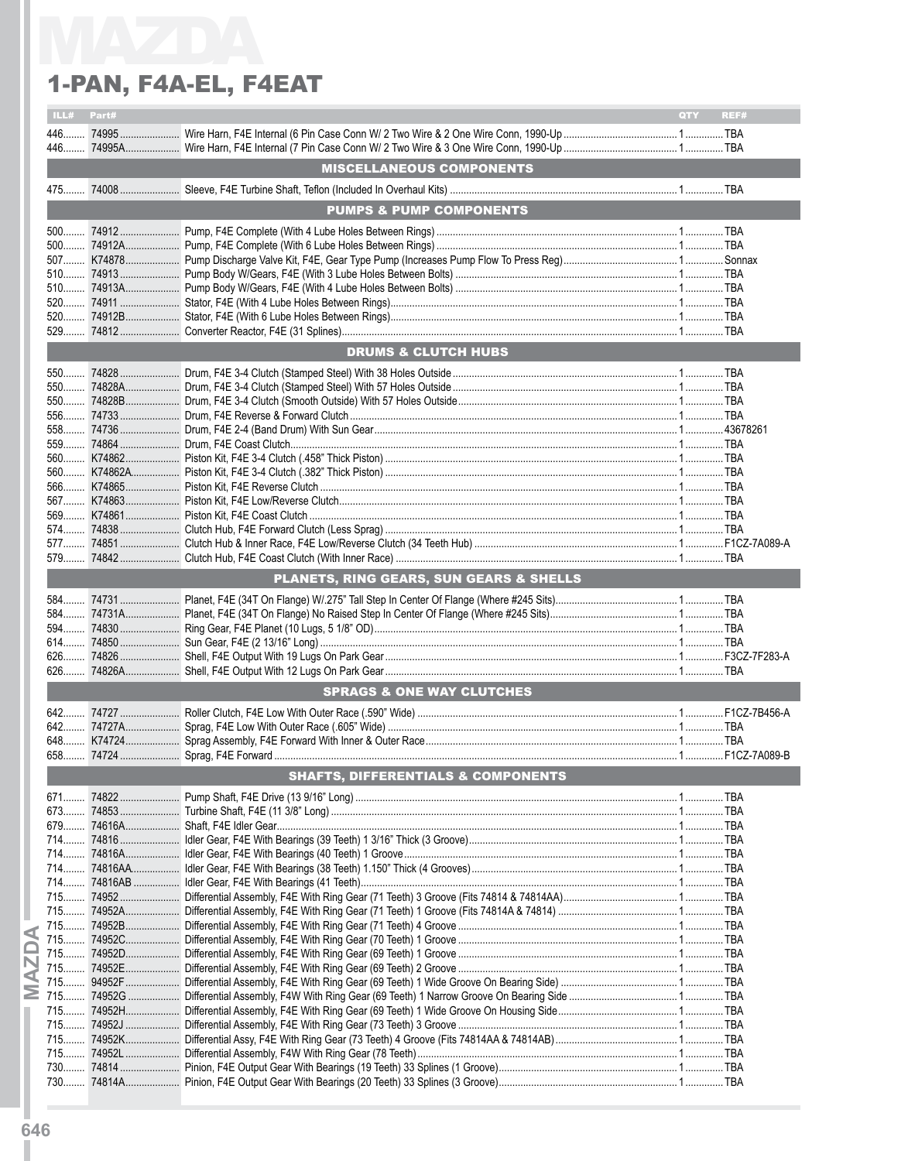| ILL#<br>Part# |                                               | QTY<br>REF# |
|---------------|-----------------------------------------------|-------------|
|               |                                               |             |
| $446$         |                                               |             |
|               | <b>MISCELLANEOUS COMPONENTS</b>               |             |
|               |                                               |             |
|               | <b>PUMPS &amp; PUMP COMPONENTS</b>            |             |
|               |                                               |             |
|               |                                               |             |
|               |                                               |             |
|               |                                               |             |
|               |                                               |             |
|               |                                               |             |
|               |                                               |             |
|               |                                               |             |
|               |                                               |             |
|               | <b>DRUMS &amp; CLUTCH HUBS</b>                |             |
|               |                                               |             |
|               |                                               |             |
|               |                                               |             |
|               |                                               |             |
|               |                                               |             |
|               |                                               |             |
|               |                                               |             |
|               |                                               |             |
|               |                                               |             |
|               |                                               |             |
|               |                                               |             |
|               |                                               |             |
|               |                                               |             |
|               |                                               |             |
|               | PLANETS, RING GEARS, SUN GEARS & SHELLS       |             |
|               |                                               |             |
|               |                                               |             |
|               |                                               |             |
|               |                                               |             |
|               |                                               |             |
|               |                                               |             |
|               | <b>SPRAGS &amp; ONE WAY CLUTCHES</b>          |             |
|               |                                               |             |
|               |                                               |             |
|               |                                               |             |
|               |                                               |             |
|               |                                               |             |
|               |                                               |             |
|               | <b>SHAFTS, DIFFERENTIALS &amp; COMPONENTS</b> |             |
|               |                                               |             |
|               |                                               |             |
|               |                                               |             |
|               |                                               |             |
|               |                                               |             |
|               |                                               |             |
|               |                                               |             |
|               |                                               |             |
|               |                                               |             |
|               |                                               |             |
|               |                                               |             |
|               |                                               |             |
|               |                                               |             |
|               |                                               |             |
|               |                                               |             |
|               |                                               |             |
|               |                                               |             |
|               |                                               |             |
|               |                                               |             |
|               |                                               |             |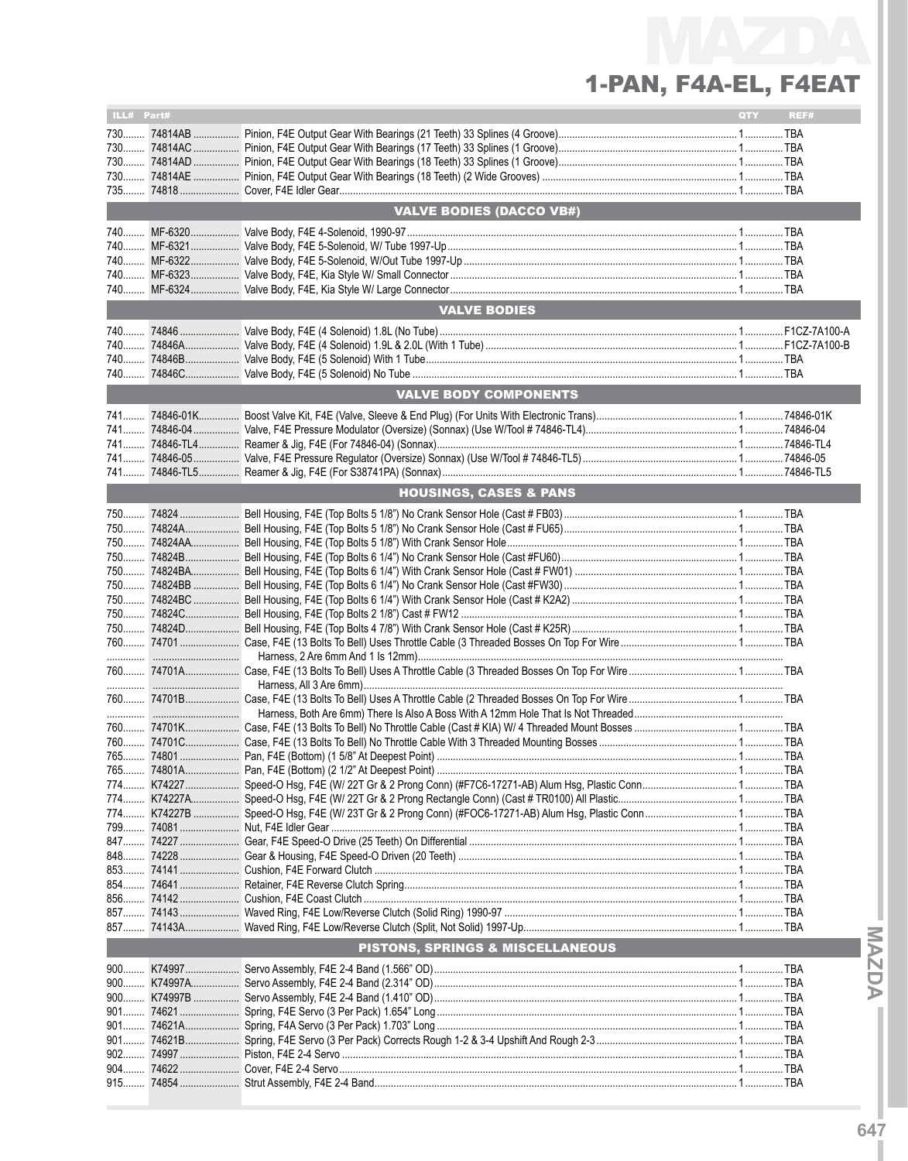| ILL# Part# |             |                                   | QTY | REF# |
|------------|-------------|-----------------------------------|-----|------|
|            |             |                                   |     |      |
|            |             |                                   |     |      |
|            |             |                                   |     |      |
|            |             |                                   |     |      |
|            |             |                                   |     |      |
|            |             |                                   |     |      |
|            |             | <b>VALVE BODIES (DACCO VB#)</b>   |     |      |
|            |             |                                   |     |      |
|            |             |                                   |     |      |
| 740        |             |                                   |     |      |
| 740        |             |                                   |     |      |
|            |             |                                   |     |      |
|            |             | <b>VALVE BODIES</b>               |     |      |
|            |             |                                   |     |      |
| 740        |             |                                   |     |      |
| 740        |             |                                   |     |      |
| $740$      |             |                                   |     |      |
|            |             | <b>VALVE BODY COMPONENTS</b>      |     |      |
|            |             |                                   |     |      |
|            |             |                                   |     |      |
|            |             |                                   |     |      |
|            |             |                                   |     |      |
|            |             |                                   |     |      |
|            |             |                                   |     |      |
|            |             | <b>HOUSINGS, CASES &amp; PANS</b> |     |      |
|            |             |                                   |     |      |
|            |             |                                   |     |      |
|            |             |                                   |     |      |
|            |             |                                   |     |      |
|            |             |                                   |     |      |
|            |             |                                   |     |      |
|            |             |                                   |     |      |
|            |             |                                   |     |      |
|            |             |                                   |     |      |
|            |             |                                   |     |      |
|            |             |                                   |     |      |
|            |             |                                   |     |      |
|            |             |                                   |     |      |
|            |             |                                   |     |      |
|            |             |                                   |     |      |
|            |             |                                   |     |      |
|            |             |                                   |     |      |
|            |             |                                   |     |      |
|            |             |                                   |     |      |
| 774        |             |                                   |     |      |
|            |             |                                   |     |      |
|            |             |                                   |     |      |
|            |             |                                   |     |      |
|            |             |                                   |     |      |
|            |             |                                   |     |      |
|            |             |                                   |     |      |
|            |             |                                   |     |      |
|            |             |                                   |     |      |
|            |             |                                   |     |      |
|            |             | PISTONS, SPRINGS & MISCELLANEOUS  |     |      |
|            |             |                                   |     |      |
|            | 900 K74997A |                                   |     |      |
|            |             |                                   |     |      |
|            |             |                                   |     |      |
|            |             |                                   |     |      |
|            |             |                                   |     |      |
|            |             |                                   |     |      |
|            |             |                                   |     |      |
|            |             |                                   |     |      |
|            |             |                                   |     |      |

MAZDAT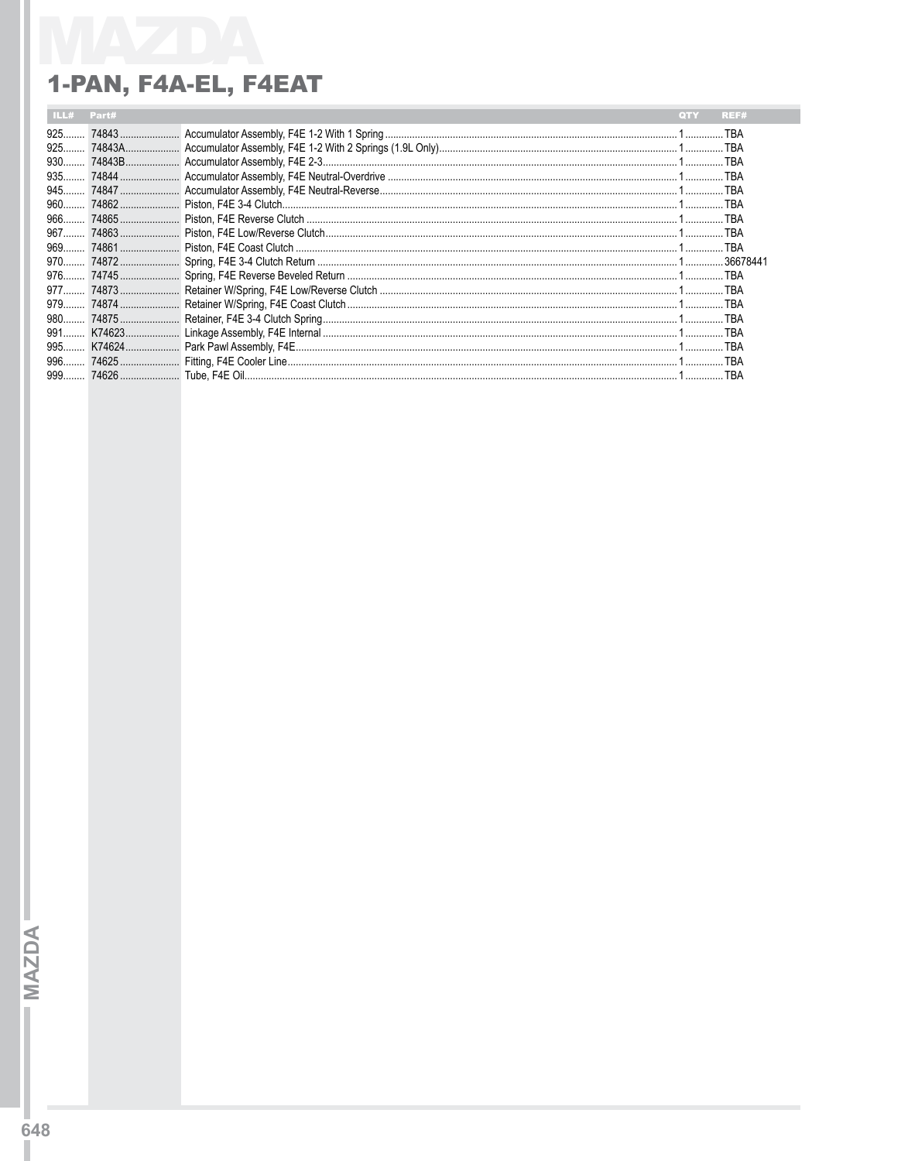| $925$ |  |  |
|-------|--|--|
| $925$ |  |  |
| $930$ |  |  |
| 935   |  |  |
| $945$ |  |  |
|       |  |  |
|       |  |  |
|       |  |  |
|       |  |  |
|       |  |  |
|       |  |  |
|       |  |  |
|       |  |  |
|       |  |  |
|       |  |  |
|       |  |  |
|       |  |  |
| $999$ |  |  |